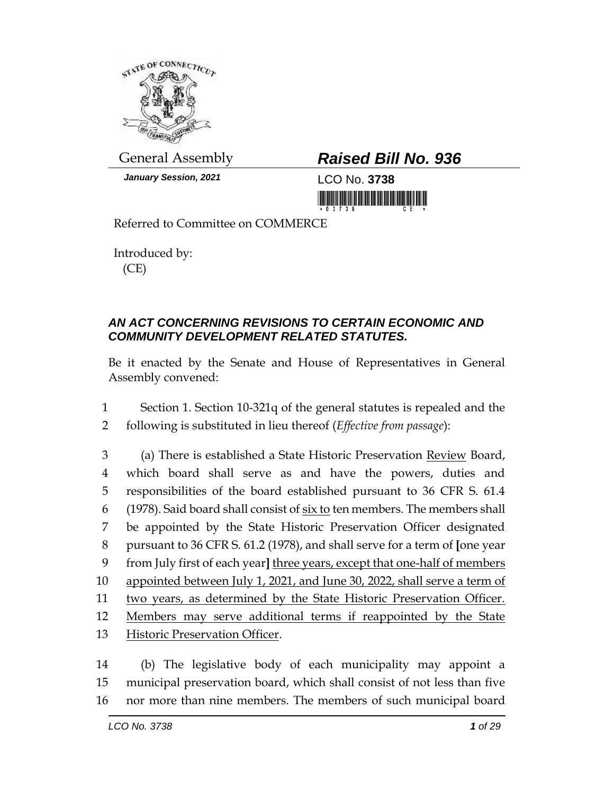

*January Session, 2021* LCO No. **3738**

## General Assembly *Raised Bill No. 936*

<u> 1999 - Andrea Stadion Andrea Stadion Andrea Stadion Andrea Stadion Andrea Stadion Andrea Stadion Andrea Stadion Andrea Stadion Andrea Stadion Andrea Stadion Andrea Stadion Andrea Stadion Andrea Stadion Andrea Stadion And</u>

Referred to Committee on COMMERCE

Introduced by: (CE)

## *AN ACT CONCERNING REVISIONS TO CERTAIN ECONOMIC AND COMMUNITY DEVELOPMENT RELATED STATUTES.*

Be it enacted by the Senate and House of Representatives in General Assembly convened:

1 Section 1. Section 10-321q of the general statutes is repealed and the 2 following is substituted in lieu thereof (*Effective from passage*):

 (a) There is established a State Historic Preservation Review Board, which board shall serve as and have the powers, duties and responsibilities of the board established pursuant to 36 CFR S. 61.4 (1978). Said board shall consist of six to ten members. The members shall be appointed by the State Historic Preservation Officer designated pursuant to 36 CFR S. 61.2 (1978), and shall serve for a term of **[**one year from July first of each year**]** three years, except that one-half of members 10 appointed between July 1, 2021, and June 30, 2022, shall serve a term of two years, as determined by the State Historic Preservation Officer. Members may serve additional terms if reappointed by the State Historic Preservation Officer.

14 (b) The legislative body of each municipality may appoint a 15 municipal preservation board, which shall consist of not less than five 16 nor more than nine members. The members of such municipal board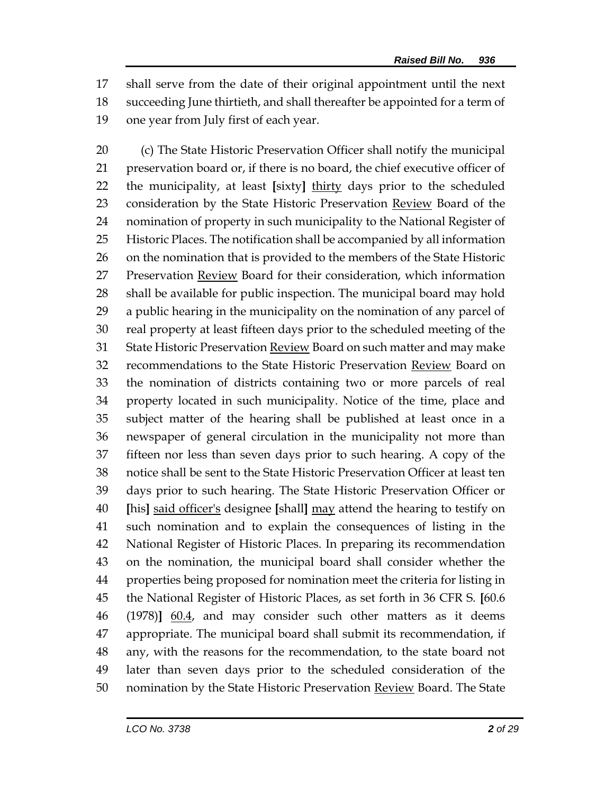shall serve from the date of their original appointment until the next succeeding June thirtieth, and shall thereafter be appointed for a term of one year from July first of each year.

 (c) The State Historic Preservation Officer shall notify the municipal preservation board or, if there is no board, the chief executive officer of the municipality, at least **[**sixty**]** thirty days prior to the scheduled 23 consideration by the State Historic Preservation Review Board of the nomination of property in such municipality to the National Register of Historic Places. The notification shall be accompanied by all information on the nomination that is provided to the members of the State Historic Preservation Review Board for their consideration, which information shall be available for public inspection. The municipal board may hold a public hearing in the municipality on the nomination of any parcel of real property at least fifteen days prior to the scheduled meeting of the 31 State Historic Preservation Review Board on such matter and may make recommendations to the State Historic Preservation Review Board on the nomination of districts containing two or more parcels of real property located in such municipality. Notice of the time, place and subject matter of the hearing shall be published at least once in a newspaper of general circulation in the municipality not more than fifteen nor less than seven days prior to such hearing. A copy of the notice shall be sent to the State Historic Preservation Officer at least ten days prior to such hearing. The State Historic Preservation Officer or **[**his**]** said officer's designee **[**shall**]** may attend the hearing to testify on such nomination and to explain the consequences of listing in the National Register of Historic Places. In preparing its recommendation on the nomination, the municipal board shall consider whether the properties being proposed for nomination meet the criteria for listing in the National Register of Historic Places, as set forth in 36 CFR S. **[**60.6 (1978)**]** 60.4, and may consider such other matters as it deems appropriate. The municipal board shall submit its recommendation, if any, with the reasons for the recommendation, to the state board not later than seven days prior to the scheduled consideration of the nomination by the State Historic Preservation Review Board. The State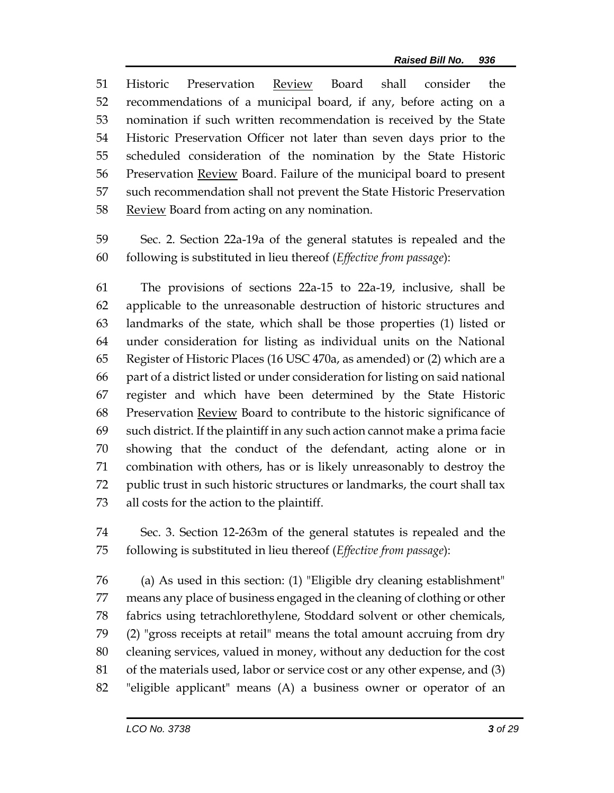Historic Preservation Review Board shall consider the recommendations of a municipal board, if any, before acting on a nomination if such written recommendation is received by the State Historic Preservation Officer not later than seven days prior to the scheduled consideration of the nomination by the State Historic Preservation Review Board. Failure of the municipal board to present such recommendation shall not prevent the State Historic Preservation 58 Review Board from acting on any nomination.

 Sec. 2. Section 22a-19a of the general statutes is repealed and the following is substituted in lieu thereof (*Effective from passage*):

 The provisions of sections 22a-15 to 22a-19, inclusive, shall be applicable to the unreasonable destruction of historic structures and landmarks of the state, which shall be those properties (1) listed or under consideration for listing as individual units on the National Register of Historic Places (16 USC 470a, as amended) or (2) which are a part of a district listed or under consideration for listing on said national register and which have been determined by the State Historic Preservation Review Board to contribute to the historic significance of such district. If the plaintiff in any such action cannot make a prima facie showing that the conduct of the defendant, acting alone or in combination with others, has or is likely unreasonably to destroy the public trust in such historic structures or landmarks, the court shall tax all costs for the action to the plaintiff.

 Sec. 3. Section 12-263m of the general statutes is repealed and the following is substituted in lieu thereof (*Effective from passage*):

 (a) As used in this section: (1) "Eligible dry cleaning establishment" means any place of business engaged in the cleaning of clothing or other fabrics using tetrachlorethylene, Stoddard solvent or other chemicals, (2) "gross receipts at retail" means the total amount accruing from dry cleaning services, valued in money, without any deduction for the cost of the materials used, labor or service cost or any other expense, and (3) "eligible applicant" means (A) a business owner or operator of an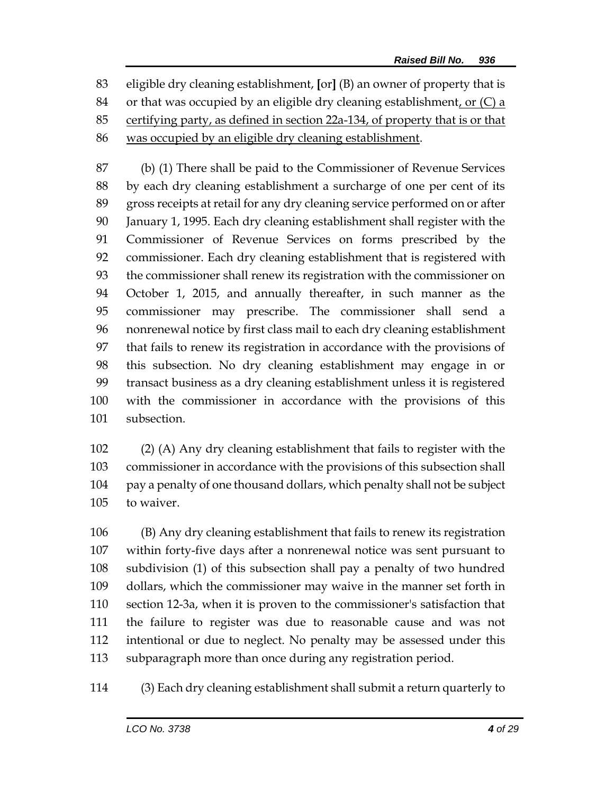eligible dry cleaning establishment, **[**or**]** (B) an owner of property that is or that was occupied by an eligible dry cleaning establishment, or (C) a certifying party, as defined in section 22a-134, of property that is or that was occupied by an eligible dry cleaning establishment.

 (b) (1) There shall be paid to the Commissioner of Revenue Services by each dry cleaning establishment a surcharge of one per cent of its gross receipts at retail for any dry cleaning service performed on or after January 1, 1995. Each dry cleaning establishment shall register with the Commissioner of Revenue Services on forms prescribed by the commissioner. Each dry cleaning establishment that is registered with the commissioner shall renew its registration with the commissioner on October 1, 2015, and annually thereafter, in such manner as the commissioner may prescribe. The commissioner shall send a nonrenewal notice by first class mail to each dry cleaning establishment that fails to renew its registration in accordance with the provisions of this subsection. No dry cleaning establishment may engage in or transact business as a dry cleaning establishment unless it is registered with the commissioner in accordance with the provisions of this subsection.

 (2) (A) Any dry cleaning establishment that fails to register with the commissioner in accordance with the provisions of this subsection shall pay a penalty of one thousand dollars, which penalty shall not be subject to waiver.

 (B) Any dry cleaning establishment that fails to renew its registration within forty-five days after a nonrenewal notice was sent pursuant to subdivision (1) of this subsection shall pay a penalty of two hundred dollars, which the commissioner may waive in the manner set forth in section 12-3a, when it is proven to the commissioner's satisfaction that the failure to register was due to reasonable cause and was not intentional or due to neglect. No penalty may be assessed under this subparagraph more than once during any registration period.

(3) Each dry cleaning establishment shall submit a return quarterly to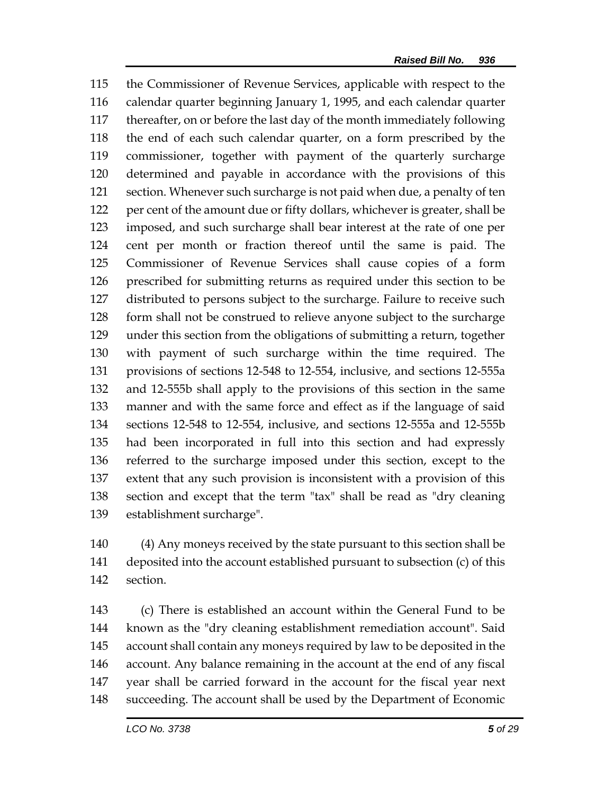the Commissioner of Revenue Services, applicable with respect to the calendar quarter beginning January 1, 1995, and each calendar quarter thereafter, on or before the last day of the month immediately following the end of each such calendar quarter, on a form prescribed by the commissioner, together with payment of the quarterly surcharge determined and payable in accordance with the provisions of this section. Whenever such surcharge is not paid when due, a penalty of ten per cent of the amount due or fifty dollars, whichever is greater, shall be imposed, and such surcharge shall bear interest at the rate of one per cent per month or fraction thereof until the same is paid. The Commissioner of Revenue Services shall cause copies of a form prescribed for submitting returns as required under this section to be distributed to persons subject to the surcharge. Failure to receive such form shall not be construed to relieve anyone subject to the surcharge under this section from the obligations of submitting a return, together with payment of such surcharge within the time required. The provisions of sections 12-548 to 12-554, inclusive, and sections 12-555a and 12-555b shall apply to the provisions of this section in the same manner and with the same force and effect as if the language of said sections 12-548 to 12-554, inclusive, and sections 12-555a and 12-555b had been incorporated in full into this section and had expressly referred to the surcharge imposed under this section, except to the extent that any such provision is inconsistent with a provision of this section and except that the term "tax" shall be read as "dry cleaning establishment surcharge".

 (4) Any moneys received by the state pursuant to this section shall be deposited into the account established pursuant to subsection (c) of this section.

 (c) There is established an account within the General Fund to be known as the "dry cleaning establishment remediation account". Said account shall contain any moneys required by law to be deposited in the account. Any balance remaining in the account at the end of any fiscal year shall be carried forward in the account for the fiscal year next succeeding. The account shall be used by the Department of Economic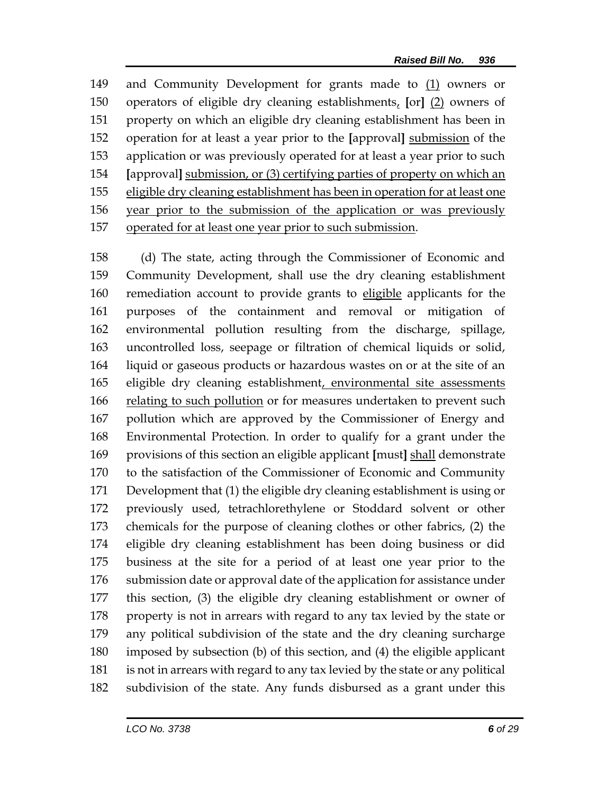and Community Development for grants made to (1) owners or operators of eligible dry cleaning establishments, **[**or**]** (2) owners of property on which an eligible dry cleaning establishment has been in operation for at least a year prior to the **[**approval**]** submission of the application or was previously operated for at least a year prior to such **[**approval**]** submission, or (3) certifying parties of property on which an eligible dry cleaning establishment has been in operation for at least one year prior to the submission of the application or was previously operated for at least one year prior to such submission.

 (d) The state, acting through the Commissioner of Economic and Community Development, shall use the dry cleaning establishment remediation account to provide grants to eligible applicants for the purposes of the containment and removal or mitigation of environmental pollution resulting from the discharge, spillage, uncontrolled loss, seepage or filtration of chemical liquids or solid, liquid or gaseous products or hazardous wastes on or at the site of an eligible dry cleaning establishment, environmental site assessments 166 relating to such pollution or for measures undertaken to prevent such pollution which are approved by the Commissioner of Energy and Environmental Protection. In order to qualify for a grant under the provisions of this section an eligible applicant **[**must**]** shall demonstrate to the satisfaction of the Commissioner of Economic and Community Development that (1) the eligible dry cleaning establishment is using or previously used, tetrachlorethylene or Stoddard solvent or other chemicals for the purpose of cleaning clothes or other fabrics, (2) the eligible dry cleaning establishment has been doing business or did business at the site for a period of at least one year prior to the submission date or approval date of the application for assistance under this section, (3) the eligible dry cleaning establishment or owner of 178 property is not in arrears with regard to any tax levied by the state or any political subdivision of the state and the dry cleaning surcharge imposed by subsection (b) of this section, and (4) the eligible applicant is not in arrears with regard to any tax levied by the state or any political subdivision of the state. Any funds disbursed as a grant under this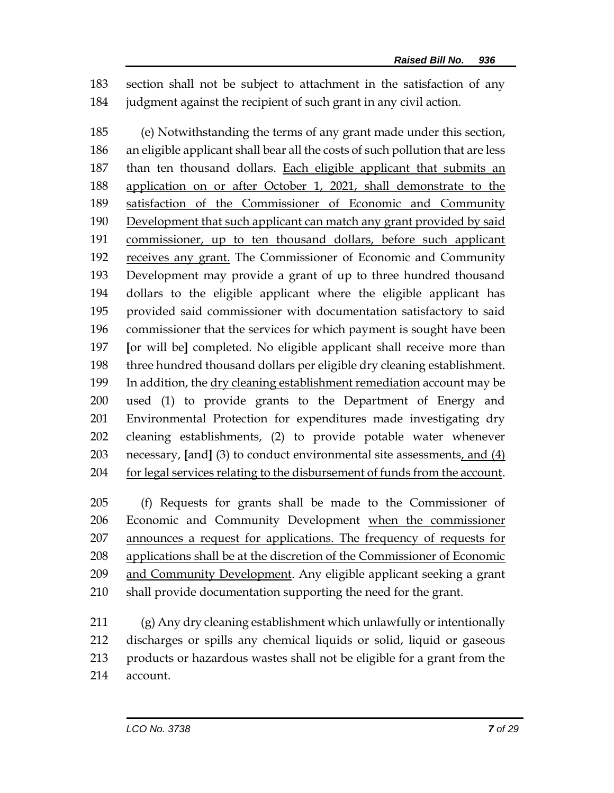section shall not be subject to attachment in the satisfaction of any judgment against the recipient of such grant in any civil action.

 (e) Notwithstanding the terms of any grant made under this section, an eligible applicant shall bear all the costs of such pollution that are less than ten thousand dollars. Each eligible applicant that submits an application on or after October 1, 2021, shall demonstrate to the 189 satisfaction of the Commissioner of Economic and Community 190 Development that such applicant can match any grant provided by said commissioner, up to ten thousand dollars, before such applicant receives any grant. The Commissioner of Economic and Community Development may provide a grant of up to three hundred thousand dollars to the eligible applicant where the eligible applicant has provided said commissioner with documentation satisfactory to said commissioner that the services for which payment is sought have been **[**or will be**]** completed. No eligible applicant shall receive more than three hundred thousand dollars per eligible dry cleaning establishment. In addition, the dry cleaning establishment remediation account may be used (1) to provide grants to the Department of Energy and Environmental Protection for expenditures made investigating dry cleaning establishments, (2) to provide potable water whenever necessary, **[**and**]** (3) to conduct environmental site assessments, and (4) 204 for legal services relating to the disbursement of funds from the account.

 (f) Requests for grants shall be made to the Commissioner of Economic and Community Development when the commissioner 207 announces a request for applications. The frequency of requests for applications shall be at the discretion of the Commissioner of Economic and Community Development. Any eligible applicant seeking a grant shall provide documentation supporting the need for the grant.

 (g) Any dry cleaning establishment which unlawfully or intentionally discharges or spills any chemical liquids or solid, liquid or gaseous products or hazardous wastes shall not be eligible for a grant from the account.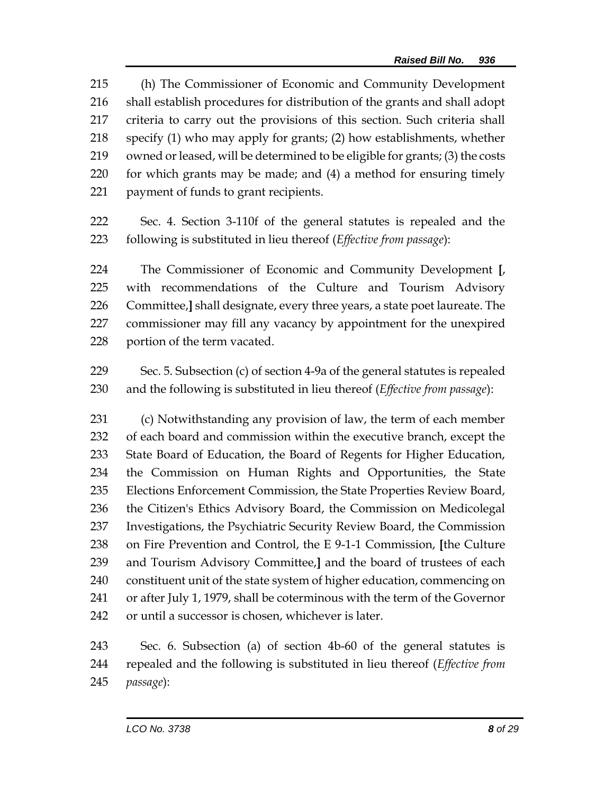(h) The Commissioner of Economic and Community Development shall establish procedures for distribution of the grants and shall adopt criteria to carry out the provisions of this section. Such criteria shall specify (1) who may apply for grants; (2) how establishments, whether owned or leased, will be determined to be eligible for grants; (3) the costs for which grants may be made; and (4) a method for ensuring timely payment of funds to grant recipients.

 Sec. 4. Section 3-110f of the general statutes is repealed and the following is substituted in lieu thereof (*Effective from passage*):

 The Commissioner of Economic and Community Development **[**, with recommendations of the Culture and Tourism Advisory Committee,**]** shall designate, every three years, a state poet laureate. The commissioner may fill any vacancy by appointment for the unexpired portion of the term vacated.

 Sec. 5. Subsection (c) of section 4-9a of the general statutes is repealed and the following is substituted in lieu thereof (*Effective from passage*):

 (c) Notwithstanding any provision of law, the term of each member of each board and commission within the executive branch, except the State Board of Education, the Board of Regents for Higher Education, the Commission on Human Rights and Opportunities, the State Elections Enforcement Commission, the State Properties Review Board, the Citizen's Ethics Advisory Board, the Commission on Medicolegal Investigations, the Psychiatric Security Review Board, the Commission on Fire Prevention and Control, the E 9-1-1 Commission, **[**the Culture and Tourism Advisory Committee,**]** and the board of trustees of each constituent unit of the state system of higher education, commencing on or after July 1, 1979, shall be coterminous with the term of the Governor or until a successor is chosen, whichever is later.

 Sec. 6. Subsection (a) of section 4b-60 of the general statutes is repealed and the following is substituted in lieu thereof (*Effective from passage*):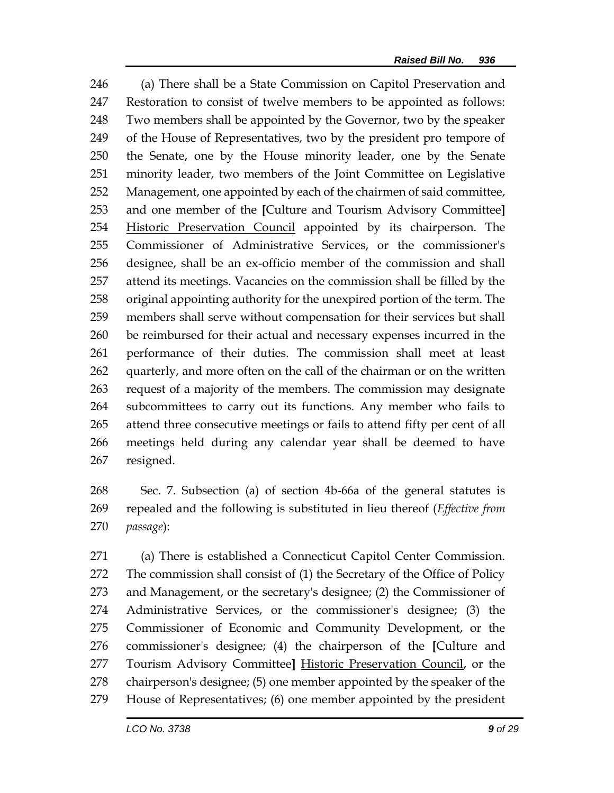(a) There shall be a State Commission on Capitol Preservation and Restoration to consist of twelve members to be appointed as follows: Two members shall be appointed by the Governor, two by the speaker of the House of Representatives, two by the president pro tempore of the Senate, one by the House minority leader, one by the Senate minority leader, two members of the Joint Committee on Legislative Management, one appointed by each of the chairmen of said committee, and one member of the **[**Culture and Tourism Advisory Committee**]** 254 Historic Preservation Council appointed by its chairperson. The Commissioner of Administrative Services, or the commissioner's designee, shall be an ex-officio member of the commission and shall attend its meetings. Vacancies on the commission shall be filled by the original appointing authority for the unexpired portion of the term. The members shall serve without compensation for their services but shall be reimbursed for their actual and necessary expenses incurred in the performance of their duties. The commission shall meet at least quarterly, and more often on the call of the chairman or on the written request of a majority of the members. The commission may designate subcommittees to carry out its functions. Any member who fails to attend three consecutive meetings or fails to attend fifty per cent of all meetings held during any calendar year shall be deemed to have resigned.

 Sec. 7. Subsection (a) of section 4b-66a of the general statutes is repealed and the following is substituted in lieu thereof (*Effective from passage*):

 (a) There is established a Connecticut Capitol Center Commission. The commission shall consist of (1) the Secretary of the Office of Policy and Management, or the secretary's designee; (2) the Commissioner of Administrative Services, or the commissioner's designee; (3) the Commissioner of Economic and Community Development, or the commissioner's designee; (4) the chairperson of the **[**Culture and Tourism Advisory Committee**]** Historic Preservation Council, or the chairperson's designee; (5) one member appointed by the speaker of the House of Representatives; (6) one member appointed by the president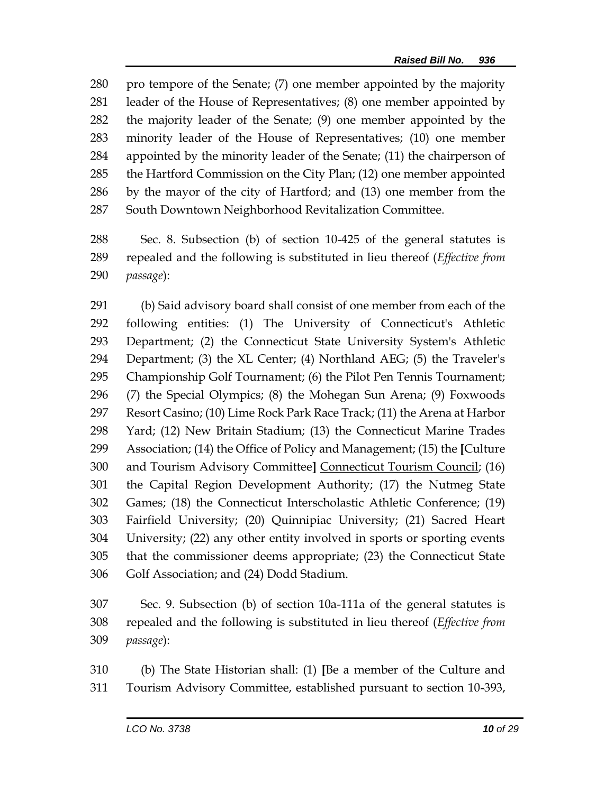pro tempore of the Senate; (7) one member appointed by the majority leader of the House of Representatives; (8) one member appointed by the majority leader of the Senate; (9) one member appointed by the minority leader of the House of Representatives; (10) one member appointed by the minority leader of the Senate; (11) the chairperson of the Hartford Commission on the City Plan; (12) one member appointed by the mayor of the city of Hartford; and (13) one member from the South Downtown Neighborhood Revitalization Committee.

 Sec. 8. Subsection (b) of section 10-425 of the general statutes is repealed and the following is substituted in lieu thereof (*Effective from passage*):

 (b) Said advisory board shall consist of one member from each of the following entities: (1) The University of Connecticut's Athletic Department; (2) the Connecticut State University System's Athletic Department; (3) the XL Center; (4) Northland AEG; (5) the Traveler's Championship Golf Tournament; (6) the Pilot Pen Tennis Tournament; (7) the Special Olympics; (8) the Mohegan Sun Arena; (9) Foxwoods Resort Casino; (10) Lime Rock Park Race Track; (11) the Arena at Harbor Yard; (12) New Britain Stadium; (13) the Connecticut Marine Trades Association; (14) the Office of Policy and Management; (15) the **[**Culture and Tourism Advisory Committee**]** Connecticut Tourism Council; (16) the Capital Region Development Authority; (17) the Nutmeg State Games; (18) the Connecticut Interscholastic Athletic Conference; (19) Fairfield University; (20) Quinnipiac University; (21) Sacred Heart University; (22) any other entity involved in sports or sporting events that the commissioner deems appropriate; (23) the Connecticut State Golf Association; and (24) Dodd Stadium.

 Sec. 9. Subsection (b) of section 10a-111a of the general statutes is repealed and the following is substituted in lieu thereof (*Effective from passage*):

 (b) The State Historian shall: (1) **[**Be a member of the Culture and Tourism Advisory Committee, established pursuant to section 10-393,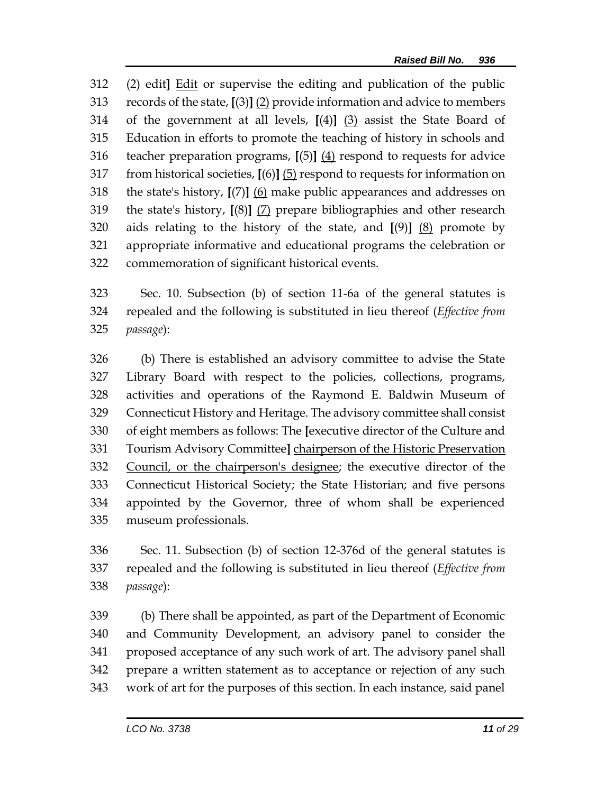(2) edit**]** Edit or supervise the editing and publication of the public records of the state, **[**(3)**]** (2) provide information and advice to members of the government at all levels, **[**(4)**]** (3) assist the State Board of Education in efforts to promote the teaching of history in schools and teacher preparation programs, **[**(5)**]** (4) respond to requests for advice from historical societies, **[**(6)**]** (5) respond to requests for information on the state's history, **[**(7)**]** (6) make public appearances and addresses on the state's history, **[**(8)**]** (7) prepare bibliographies and other research aids relating to the history of the state, and **[**(9)**]** (8) promote by appropriate informative and educational programs the celebration or commemoration of significant historical events.

 Sec. 10. Subsection (b) of section 11-6a of the general statutes is repealed and the following is substituted in lieu thereof (*Effective from passage*):

 (b) There is established an advisory committee to advise the State Library Board with respect to the policies, collections, programs, activities and operations of the Raymond E. Baldwin Museum of Connecticut History and Heritage. The advisory committee shall consist of eight members as follows: The **[**executive director of the Culture and Tourism Advisory Committee**]** chairperson of the Historic Preservation Council, or the chairperson's designee; the executive director of the Connecticut Historical Society; the State Historian; and five persons appointed by the Governor, three of whom shall be experienced museum professionals.

 Sec. 11. Subsection (b) of section 12-376d of the general statutes is repealed and the following is substituted in lieu thereof (*Effective from passage*):

 (b) There shall be appointed, as part of the Department of Economic and Community Development, an advisory panel to consider the proposed acceptance of any such work of art. The advisory panel shall prepare a written statement as to acceptance or rejection of any such work of art for the purposes of this section. In each instance, said panel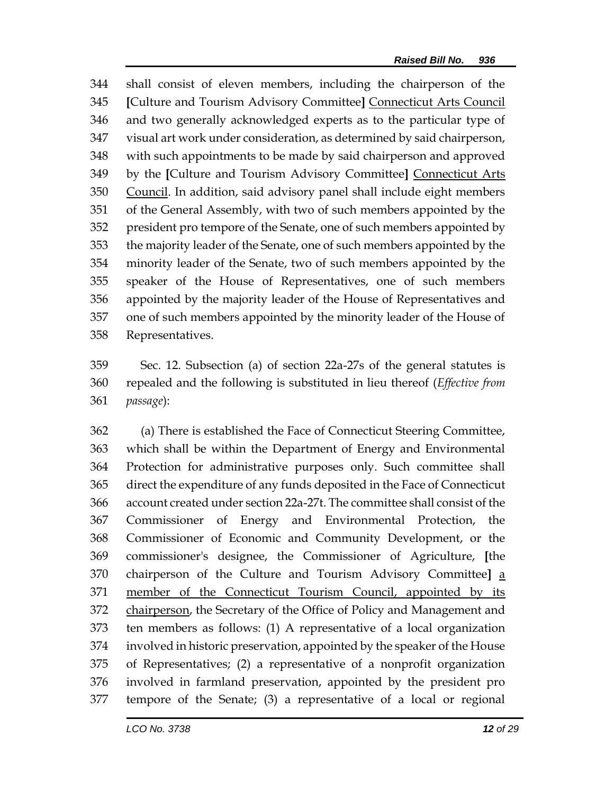shall consist of eleven members, including the chairperson of the **[**Culture and Tourism Advisory Committee**]** Connecticut Arts Council and two generally acknowledged experts as to the particular type of visual art work under consideration, as determined by said chairperson, with such appointments to be made by said chairperson and approved by the **[**Culture and Tourism Advisory Committee**]** Connecticut Arts Council. In addition, said advisory panel shall include eight members of the General Assembly, with two of such members appointed by the president pro tempore of the Senate, one of such members appointed by the majority leader of the Senate, one of such members appointed by the minority leader of the Senate, two of such members appointed by the speaker of the House of Representatives, one of such members appointed by the majority leader of the House of Representatives and one of such members appointed by the minority leader of the House of Representatives.

 Sec. 12. Subsection (a) of section 22a-27s of the general statutes is repealed and the following is substituted in lieu thereof (*Effective from passage*):

 (a) There is established the Face of Connecticut Steering Committee, which shall be within the Department of Energy and Environmental Protection for administrative purposes only. Such committee shall direct the expenditure of any funds deposited in the Face of Connecticut account created under section 22a-27t. The committee shall consist of the Commissioner of Energy and Environmental Protection, the Commissioner of Economic and Community Development, or the commissioner's designee, the Commissioner of Agriculture, **[**the chairperson of the Culture and Tourism Advisory Committee**]** a member of the Connecticut Tourism Council, appointed by its 372 chairperson, the Secretary of the Office of Policy and Management and ten members as follows: (1) A representative of a local organization involved in historic preservation, appointed by the speaker of the House of Representatives; (2) a representative of a nonprofit organization involved in farmland preservation, appointed by the president pro tempore of the Senate; (3) a representative of a local or regional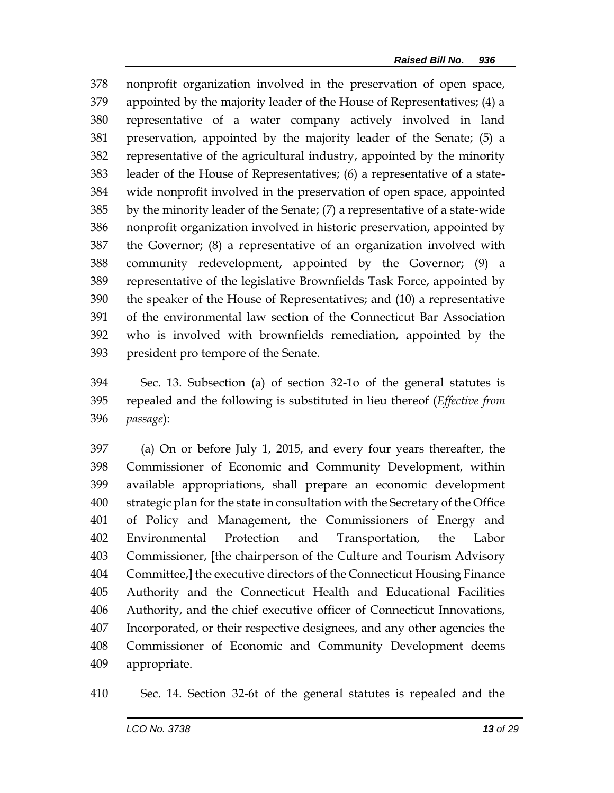nonprofit organization involved in the preservation of open space, appointed by the majority leader of the House of Representatives; (4) a representative of a water company actively involved in land preservation, appointed by the majority leader of the Senate; (5) a representative of the agricultural industry, appointed by the minority leader of the House of Representatives; (6) a representative of a state- wide nonprofit involved in the preservation of open space, appointed by the minority leader of the Senate; (7) a representative of a state-wide nonprofit organization involved in historic preservation, appointed by the Governor; (8) a representative of an organization involved with community redevelopment, appointed by the Governor; (9) a representative of the legislative Brownfields Task Force, appointed by the speaker of the House of Representatives; and (10) a representative of the environmental law section of the Connecticut Bar Association who is involved with brownfields remediation, appointed by the president pro tempore of the Senate.

 Sec. 13. Subsection (a) of section 32-1o of the general statutes is repealed and the following is substituted in lieu thereof (*Effective from passage*):

 (a) On or before July 1, 2015, and every four years thereafter, the Commissioner of Economic and Community Development, within available appropriations, shall prepare an economic development strategic plan for the state in consultation with the Secretary of the Office of Policy and Management, the Commissioners of Energy and Environmental Protection and Transportation, the Labor Commissioner, **[**the chairperson of the Culture and Tourism Advisory Committee,**]** the executive directors of the Connecticut Housing Finance Authority and the Connecticut Health and Educational Facilities Authority, and the chief executive officer of Connecticut Innovations, Incorporated, or their respective designees, and any other agencies the Commissioner of Economic and Community Development deems appropriate.

Sec. 14. Section 32-6t of the general statutes is repealed and the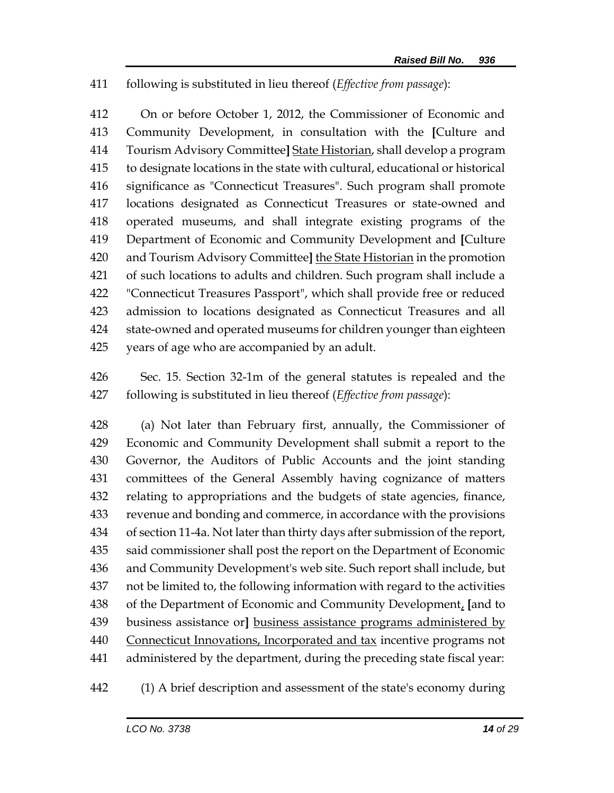## following is substituted in lieu thereof (*Effective from passage*):

 On or before October 1, 2012, the Commissioner of Economic and Community Development, in consultation with the **[**Culture and Tourism Advisory Committee**]** State Historian, shall develop a program to designate locations in the state with cultural, educational or historical significance as "Connecticut Treasures". Such program shall promote locations designated as Connecticut Treasures or state-owned and operated museums, and shall integrate existing programs of the Department of Economic and Community Development and **[**Culture and Tourism Advisory Committee**]** the State Historian in the promotion of such locations to adults and children. Such program shall include a "Connecticut Treasures Passport", which shall provide free or reduced admission to locations designated as Connecticut Treasures and all state-owned and operated museums for children younger than eighteen years of age who are accompanied by an adult.

 Sec. 15. Section 32-1m of the general statutes is repealed and the following is substituted in lieu thereof (*Effective from passage*):

 (a) Not later than February first, annually, the Commissioner of Economic and Community Development shall submit a report to the Governor, the Auditors of Public Accounts and the joint standing committees of the General Assembly having cognizance of matters relating to appropriations and the budgets of state agencies, finance, revenue and bonding and commerce, in accordance with the provisions of section 11-4a. Not later than thirty days after submission of the report, said commissioner shall post the report on the Department of Economic and Community Development's web site. Such report shall include, but not be limited to, the following information with regard to the activities of the Department of Economic and Community Development, **[**and to business assistance or**]** business assistance programs administered by 440 Connecticut Innovations, Incorporated and tax incentive programs not administered by the department, during the preceding state fiscal year:

(1) A brief description and assessment of the state's economy during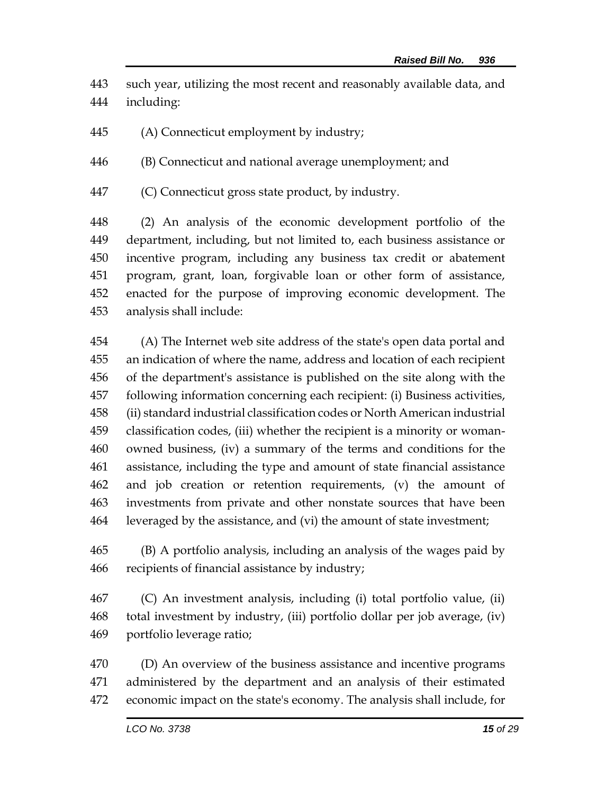such year, utilizing the most recent and reasonably available data, and including:

(A) Connecticut employment by industry;

(B) Connecticut and national average unemployment; and

(C) Connecticut gross state product, by industry.

 (2) An analysis of the economic development portfolio of the department, including, but not limited to, each business assistance or incentive program, including any business tax credit or abatement program, grant, loan, forgivable loan or other form of assistance, enacted for the purpose of improving economic development. The analysis shall include:

 (A) The Internet web site address of the state's open data portal and an indication of where the name, address and location of each recipient of the department's assistance is published on the site along with the following information concerning each recipient: (i) Business activities, (ii) standard industrial classification codes or North American industrial classification codes, (iii) whether the recipient is a minority or woman- owned business, (iv) a summary of the terms and conditions for the assistance, including the type and amount of state financial assistance and job creation or retention requirements, (v) the amount of investments from private and other nonstate sources that have been leveraged by the assistance, and (vi) the amount of state investment;

 (B) A portfolio analysis, including an analysis of the wages paid by recipients of financial assistance by industry;

 (C) An investment analysis, including (i) total portfolio value, (ii) total investment by industry, (iii) portfolio dollar per job average, (iv) portfolio leverage ratio;

 (D) An overview of the business assistance and incentive programs administered by the department and an analysis of their estimated economic impact on the state's economy. The analysis shall include, for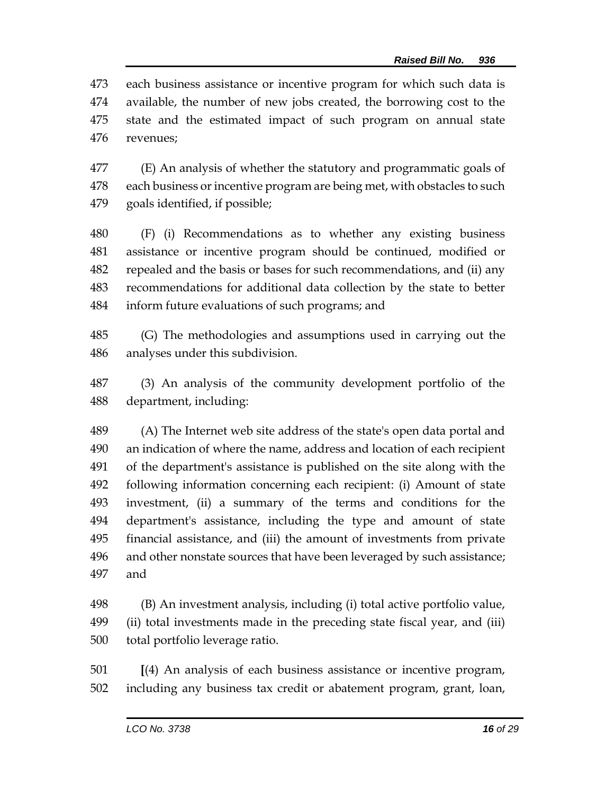each business assistance or incentive program for which such data is available, the number of new jobs created, the borrowing cost to the state and the estimated impact of such program on annual state revenues;

 (E) An analysis of whether the statutory and programmatic goals of each business or incentive program are being met, with obstacles to such goals identified, if possible;

 (F) (i) Recommendations as to whether any existing business assistance or incentive program should be continued, modified or repealed and the basis or bases for such recommendations, and (ii) any recommendations for additional data collection by the state to better inform future evaluations of such programs; and

 (G) The methodologies and assumptions used in carrying out the analyses under this subdivision.

 (3) An analysis of the community development portfolio of the department, including:

 (A) The Internet web site address of the state's open data portal and an indication of where the name, address and location of each recipient of the department's assistance is published on the site along with the following information concerning each recipient: (i) Amount of state investment, (ii) a summary of the terms and conditions for the department's assistance, including the type and amount of state financial assistance, and (iii) the amount of investments from private and other nonstate sources that have been leveraged by such assistance; and

 (B) An investment analysis, including (i) total active portfolio value, (ii) total investments made in the preceding state fiscal year, and (iii) total portfolio leverage ratio.

 **[**(4) An analysis of each business assistance or incentive program, including any business tax credit or abatement program, grant, loan,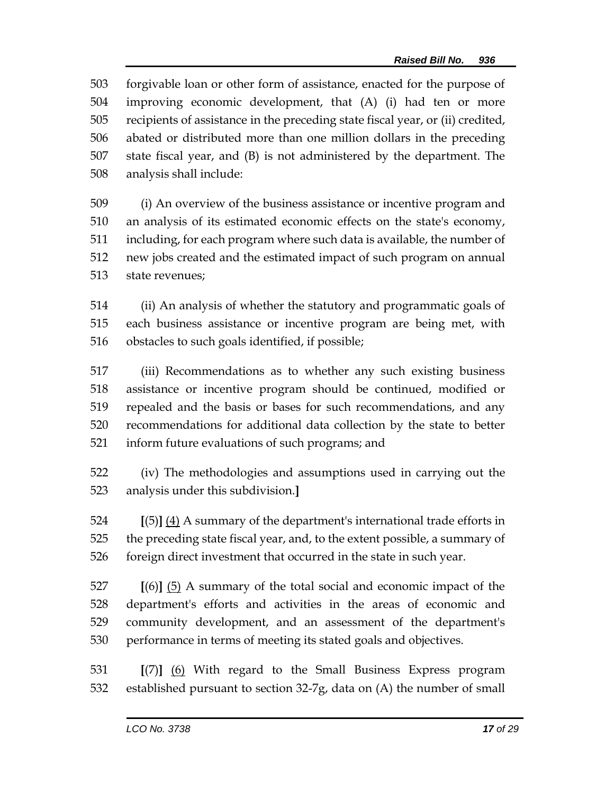forgivable loan or other form of assistance, enacted for the purpose of improving economic development, that (A) (i) had ten or more recipients of assistance in the preceding state fiscal year, or (ii) credited, abated or distributed more than one million dollars in the preceding state fiscal year, and (B) is not administered by the department. The analysis shall include:

 (i) An overview of the business assistance or incentive program and an analysis of its estimated economic effects on the state's economy, including, for each program where such data is available, the number of new jobs created and the estimated impact of such program on annual state revenues;

 (ii) An analysis of whether the statutory and programmatic goals of each business assistance or incentive program are being met, with obstacles to such goals identified, if possible;

 (iii) Recommendations as to whether any such existing business assistance or incentive program should be continued, modified or repealed and the basis or bases for such recommendations, and any recommendations for additional data collection by the state to better inform future evaluations of such programs; and

 (iv) The methodologies and assumptions used in carrying out the analysis under this subdivision.**]**

 **[**(5)**]** (4) A summary of the department's international trade efforts in the preceding state fiscal year, and, to the extent possible, a summary of foreign direct investment that occurred in the state in such year.

 **[**(6)**]** (5) A summary of the total social and economic impact of the department's efforts and activities in the areas of economic and community development, and an assessment of the department's performance in terms of meeting its stated goals and objectives.

 **[**(7)**]** (6) With regard to the Small Business Express program established pursuant to section 32-7g, data on (A) the number of small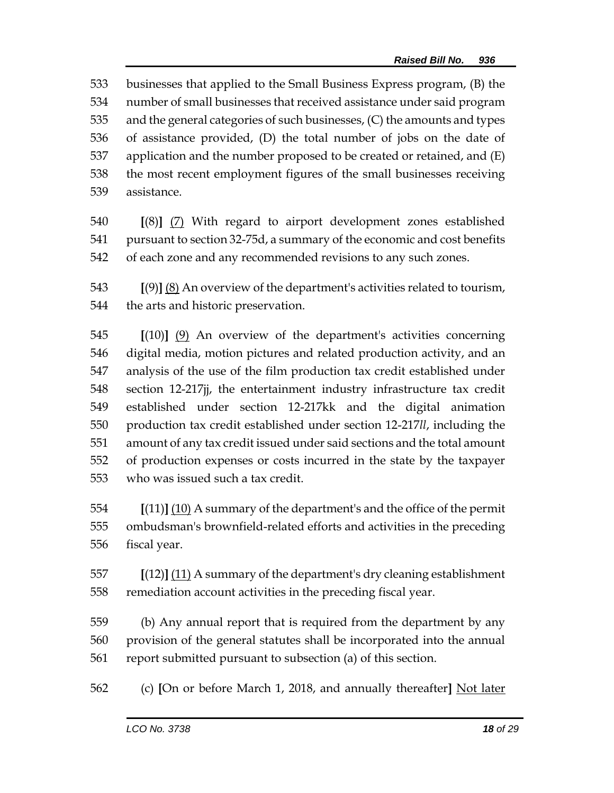businesses that applied to the Small Business Express program, (B) the number of small businesses that received assistance under said program and the general categories of such businesses, (C) the amounts and types of assistance provided, (D) the total number of jobs on the date of application and the number proposed to be created or retained, and (E) the most recent employment figures of the small businesses receiving assistance.

 **[**(8)**]** (7) With regard to airport development zones established pursuant to section 32-75d, a summary of the economic and cost benefits of each zone and any recommended revisions to any such zones.

 **[**(9)**]** (8) An overview of the department's activities related to tourism, the arts and historic preservation.

 **[**(10)**]** (9) An overview of the department's activities concerning digital media, motion pictures and related production activity, and an analysis of the use of the film production tax credit established under section 12-217jj, the entertainment industry infrastructure tax credit established under section 12-217kk and the digital animation production tax credit established under section 12-217*ll*, including the amount of any tax credit issued under said sections and the total amount of production expenses or costs incurred in the state by the taxpayer who was issued such a tax credit.

 **[**(11)**]** (10) A summary of the department's and the office of the permit ombudsman's brownfield-related efforts and activities in the preceding fiscal year.

 **[**(12)**]** (11) A summary of the department's dry cleaning establishment remediation account activities in the preceding fiscal year.

 (b) Any annual report that is required from the department by any provision of the general statutes shall be incorporated into the annual report submitted pursuant to subsection (a) of this section.

(c) **[**On or before March 1, 2018, and annually thereafter**]** Not later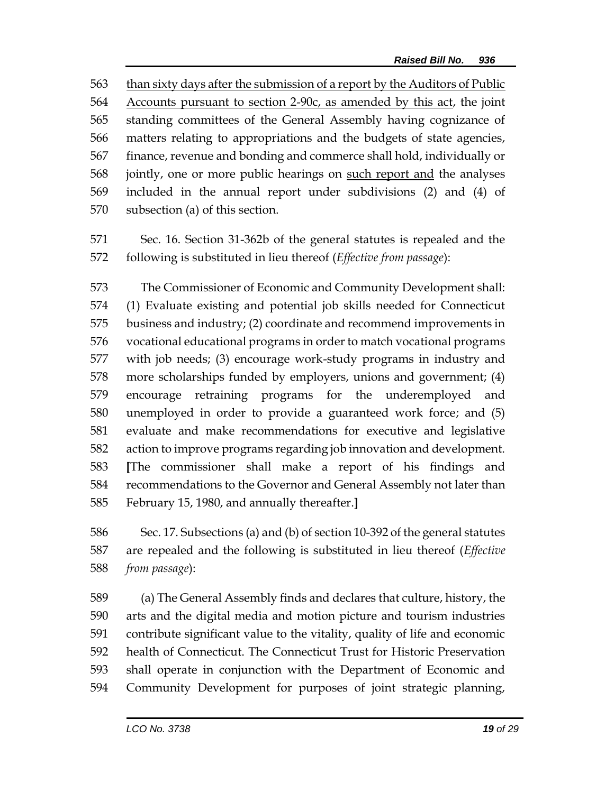than sixty days after the submission of a report by the Auditors of Public Accounts pursuant to section 2-90c, as amended by this act, the joint standing committees of the General Assembly having cognizance of matters relating to appropriations and the budgets of state agencies, finance, revenue and bonding and commerce shall hold, individually or jointly, one or more public hearings on such report and the analyses included in the annual report under subdivisions (2) and (4) of subsection (a) of this section.

 Sec. 16. Section 31-362b of the general statutes is repealed and the following is substituted in lieu thereof (*Effective from passage*):

 The Commissioner of Economic and Community Development shall: (1) Evaluate existing and potential job skills needed for Connecticut business and industry; (2) coordinate and recommend improvements in vocational educational programs in order to match vocational programs with job needs; (3) encourage work-study programs in industry and more scholarships funded by employers, unions and government; (4) encourage retraining programs for the underemployed and unemployed in order to provide a guaranteed work force; and (5) evaluate and make recommendations for executive and legislative action to improve programs regarding job innovation and development. **[**The commissioner shall make a report of his findings and recommendations to the Governor and General Assembly not later than February 15, 1980, and annually thereafter.**]**

 Sec. 17. Subsections (a) and (b) of section 10-392 of the general statutes are repealed and the following is substituted in lieu thereof (*Effective from passage*):

 (a) The General Assembly finds and declares that culture, history, the arts and the digital media and motion picture and tourism industries contribute significant value to the vitality, quality of life and economic health of Connecticut. The Connecticut Trust for Historic Preservation shall operate in conjunction with the Department of Economic and Community Development for purposes of joint strategic planning,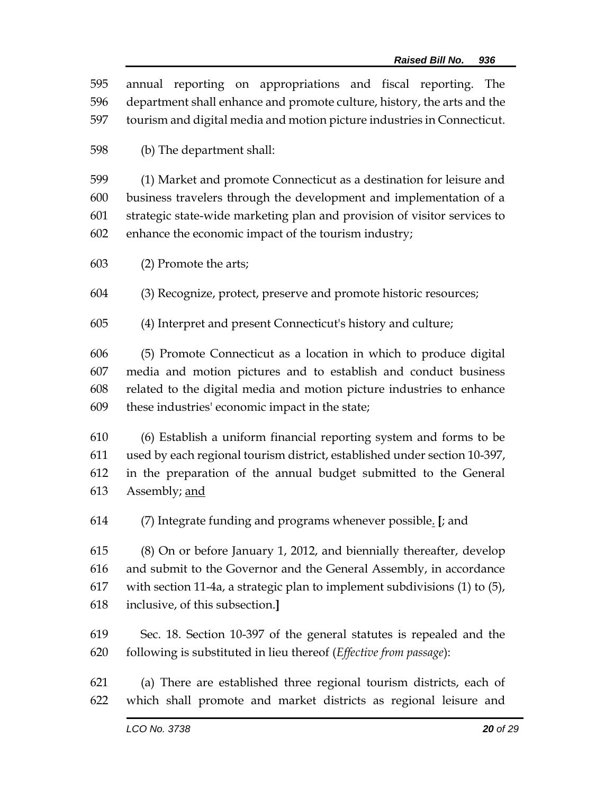| 595        | annual reporting on appropriations and fiscal reporting. The                                                                            |  |  |
|------------|-----------------------------------------------------------------------------------------------------------------------------------------|--|--|
| 596        | department shall enhance and promote culture, history, the arts and the                                                                 |  |  |
| 597        | tourism and digital media and motion picture industries in Connecticut.                                                                 |  |  |
| 598        | (b) The department shall:                                                                                                               |  |  |
| 599        | (1) Market and promote Connecticut as a destination for leisure and                                                                     |  |  |
| 600        | business travelers through the development and implementation of a                                                                      |  |  |
| 601        | strategic state-wide marketing plan and provision of visitor services to                                                                |  |  |
| 602        | enhance the economic impact of the tourism industry;                                                                                    |  |  |
| 603        | (2) Promote the arts;                                                                                                                   |  |  |
| 604        | (3) Recognize, protect, preserve and promote historic resources;                                                                        |  |  |
| 605        | (4) Interpret and present Connecticut's history and culture;                                                                            |  |  |
| 606        | (5) Promote Connecticut as a location in which to produce digital                                                                       |  |  |
| 607        | media and motion pictures and to establish and conduct business                                                                         |  |  |
| 608        | related to the digital media and motion picture industries to enhance                                                                   |  |  |
| 609        | these industries' economic impact in the state;                                                                                         |  |  |
| 610        | (6) Establish a uniform financial reporting system and forms to be                                                                      |  |  |
| 611        | used by each regional tourism district, established under section 10-397,                                                               |  |  |
| 612        | in the preparation of the annual budget submitted to the General                                                                        |  |  |
| 613        | Assembly; and                                                                                                                           |  |  |
| 614        | (7) Integrate funding and programs whenever possible. [; and                                                                            |  |  |
| 615        | (8) On or before January 1, 2012, and biennially thereafter, develop                                                                    |  |  |
| 616        | and submit to the Governor and the General Assembly, in accordance                                                                      |  |  |
| 617        | with section 11-4a, a strategic plan to implement subdivisions $(1)$ to $(5)$ ,                                                         |  |  |
| 618        | inclusive, of this subsection.                                                                                                          |  |  |
| 619        | Sec. 18. Section 10-397 of the general statutes is repealed and the                                                                     |  |  |
| 620        | following is substituted in lieu thereof (Effective from passage):                                                                      |  |  |
| 621<br>622 | (a) There are established three regional tourism districts, each of<br>which shall promote and market districts as regional leisure and |  |  |
|            |                                                                                                                                         |  |  |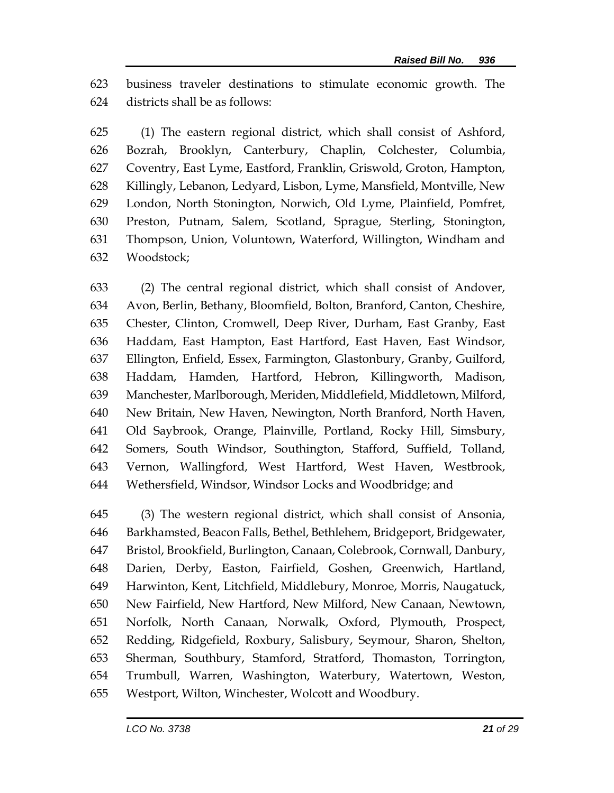business traveler destinations to stimulate economic growth. The districts shall be as follows:

 (1) The eastern regional district, which shall consist of Ashford, Bozrah, Brooklyn, Canterbury, Chaplin, Colchester, Columbia, Coventry, East Lyme, Eastford, Franklin, Griswold, Groton, Hampton, Killingly, Lebanon, Ledyard, Lisbon, Lyme, Mansfield, Montville, New London, North Stonington, Norwich, Old Lyme, Plainfield, Pomfret, Preston, Putnam, Salem, Scotland, Sprague, Sterling, Stonington, Thompson, Union, Voluntown, Waterford, Willington, Windham and Woodstock;

 (2) The central regional district, which shall consist of Andover, Avon, Berlin, Bethany, Bloomfield, Bolton, Branford, Canton, Cheshire, Chester, Clinton, Cromwell, Deep River, Durham, East Granby, East Haddam, East Hampton, East Hartford, East Haven, East Windsor, Ellington, Enfield, Essex, Farmington, Glastonbury, Granby, Guilford, Haddam, Hamden, Hartford, Hebron, Killingworth, Madison, Manchester, Marlborough, Meriden, Middlefield, Middletown, Milford, New Britain, New Haven, Newington, North Branford, North Haven, Old Saybrook, Orange, Plainville, Portland, Rocky Hill, Simsbury, Somers, South Windsor, Southington, Stafford, Suffield, Tolland, Vernon, Wallingford, West Hartford, West Haven, Westbrook, Wethersfield, Windsor, Windsor Locks and Woodbridge; and

 (3) The western regional district, which shall consist of Ansonia, Barkhamsted, Beacon Falls, Bethel, Bethlehem, Bridgeport, Bridgewater, Bristol, Brookfield, Burlington, Canaan, Colebrook, Cornwall, Danbury, Darien, Derby, Easton, Fairfield, Goshen, Greenwich, Hartland, Harwinton, Kent, Litchfield, Middlebury, Monroe, Morris, Naugatuck, New Fairfield, New Hartford, New Milford, New Canaan, Newtown, Norfolk, North Canaan, Norwalk, Oxford, Plymouth, Prospect, Redding, Ridgefield, Roxbury, Salisbury, Seymour, Sharon, Shelton, Sherman, Southbury, Stamford, Stratford, Thomaston, Torrington, Trumbull, Warren, Washington, Waterbury, Watertown, Weston, Westport, Wilton, Winchester, Wolcott and Woodbury.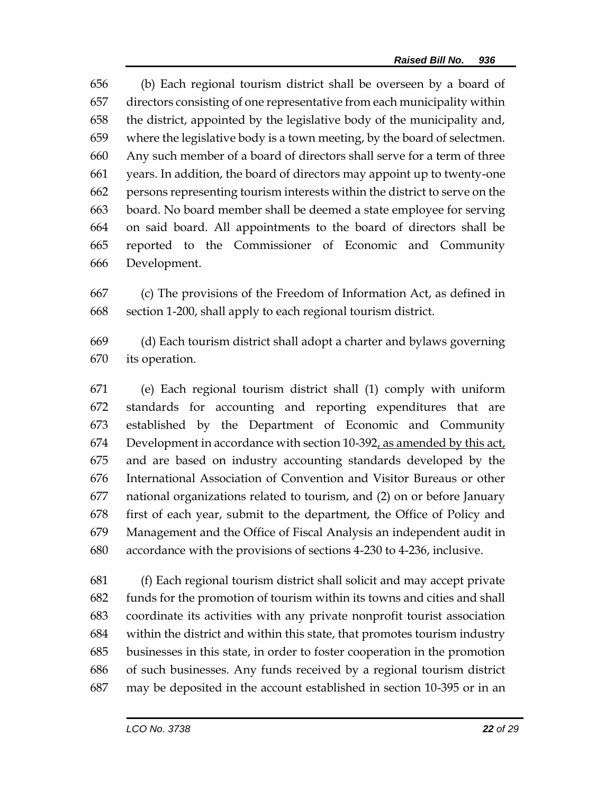(b) Each regional tourism district shall be overseen by a board of directors consisting of one representative from each municipality within the district, appointed by the legislative body of the municipality and, where the legislative body is a town meeting, by the board of selectmen. Any such member of a board of directors shall serve for a term of three years. In addition, the board of directors may appoint up to twenty-one persons representing tourism interests within the district to serve on the board. No board member shall be deemed a state employee for serving on said board. All appointments to the board of directors shall be reported to the Commissioner of Economic and Community Development.

 (c) The provisions of the Freedom of Information Act, as defined in section 1-200, shall apply to each regional tourism district.

 (d) Each tourism district shall adopt a charter and bylaws governing its operation.

 (e) Each regional tourism district shall (1) comply with uniform standards for accounting and reporting expenditures that are established by the Department of Economic and Community Development in accordance with section 10-392, as amended by this act, and are based on industry accounting standards developed by the International Association of Convention and Visitor Bureaus or other national organizations related to tourism, and (2) on or before January first of each year, submit to the department, the Office of Policy and Management and the Office of Fiscal Analysis an independent audit in accordance with the provisions of sections 4-230 to 4-236, inclusive.

 (f) Each regional tourism district shall solicit and may accept private funds for the promotion of tourism within its towns and cities and shall coordinate its activities with any private nonprofit tourist association within the district and within this state, that promotes tourism industry businesses in this state, in order to foster cooperation in the promotion of such businesses. Any funds received by a regional tourism district may be deposited in the account established in section 10-395 or in an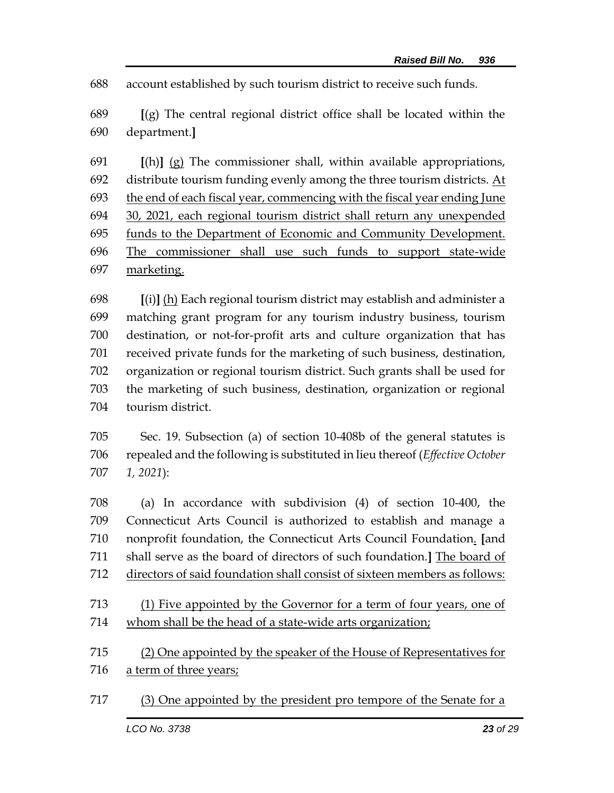account established by such tourism district to receive such funds.

 **[**(g) The central regional district office shall be located within the department.**]**

 **[**(h)**]** (g) The commissioner shall, within available appropriations, distribute tourism funding evenly among the three tourism districts. At the end of each fiscal year, commencing with the fiscal year ending June 30, 2021, each regional tourism district shall return any unexpended funds to the Department of Economic and Community Development. The commissioner shall use such funds to support state-wide marketing.

 **[**(i)**]** (h) Each regional tourism district may establish and administer a matching grant program for any tourism industry business, tourism destination, or not-for-profit arts and culture organization that has received private funds for the marketing of such business, destination, organization or regional tourism district. Such grants shall be used for the marketing of such business, destination, organization or regional tourism district.

 Sec. 19. Subsection (a) of section 10-408b of the general statutes is repealed and the following is substituted in lieu thereof (*Effective October 1, 2021*):

 (a) In accordance with subdivision (4) of section 10-400, the Connecticut Arts Council is authorized to establish and manage a nonprofit foundation, the Connecticut Arts Council Foundation. **[**and shall serve as the board of directors of such foundation.**]** The board of directors of said foundation shall consist of sixteen members as follows:

 (1) Five appointed by the Governor for a term of four years, one of whom shall be the head of a state-wide arts organization;

 (2) One appointed by the speaker of the House of Representatives for 716 a term of three years;

(3) One appointed by the president pro tempore of the Senate for a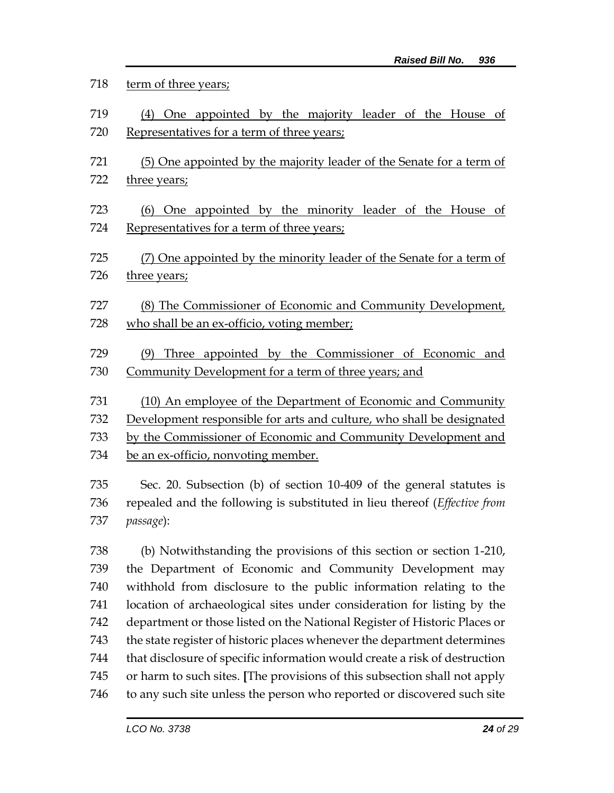| 718 | term of three years;                                                                                                                                    |  |  |
|-----|---------------------------------------------------------------------------------------------------------------------------------------------------------|--|--|
| 719 | One appointed by the majority leader of the House of<br>(4)                                                                                             |  |  |
| 720 | Representatives for a term of three years;                                                                                                              |  |  |
| 721 | (5) One appointed by the majority leader of the Senate for a term of                                                                                    |  |  |
| 722 | three years;                                                                                                                                            |  |  |
| 723 | One appointed by the minority leader of the House of<br>(6)                                                                                             |  |  |
| 724 | Representatives for a term of three years;                                                                                                              |  |  |
| 725 | (7) One appointed by the minority leader of the Senate for a term of                                                                                    |  |  |
| 726 | three years;                                                                                                                                            |  |  |
| 727 | (8) The Commissioner of Economic and Community Development,                                                                                             |  |  |
| 728 | who shall be an ex-officio, voting member;                                                                                                              |  |  |
|     |                                                                                                                                                         |  |  |
| 729 | Three appointed by the Commissioner of Economic and<br>(9)                                                                                              |  |  |
| 730 | Community Development for a term of three years; and                                                                                                    |  |  |
| 731 | (10) An employee of the Department of Economic and Community                                                                                            |  |  |
| 732 | Development responsible for arts and culture, who shall be designated                                                                                   |  |  |
| 733 | by the Commissioner of Economic and Community Development and                                                                                           |  |  |
| 734 | be an ex-officio, nonvoting member.                                                                                                                     |  |  |
| 735 | Sec. 20. Subsection (b) of section 10-409 of the general statutes is                                                                                    |  |  |
| 736 | repealed and the following is substituted in lieu thereof (Effective from                                                                               |  |  |
| 737 | passage):                                                                                                                                               |  |  |
| 738 | (b) Notwithstanding the provisions of this section or section 1-210,                                                                                    |  |  |
| 739 | the Department of Economic and Community Development may                                                                                                |  |  |
| 740 | withhold from disclosure to the public information relating to the                                                                                      |  |  |
| 741 | location of archaeological sites under consideration for listing by the                                                                                 |  |  |
| 742 | department or those listed on the National Register of Historic Places or                                                                               |  |  |
| 743 | the state register of historic places whenever the department determines                                                                                |  |  |
| 744 |                                                                                                                                                         |  |  |
|     |                                                                                                                                                         |  |  |
| 745 | that disclosure of specific information would create a risk of destruction<br>or harm to such sites. [The provisions of this subsection shall not apply |  |  |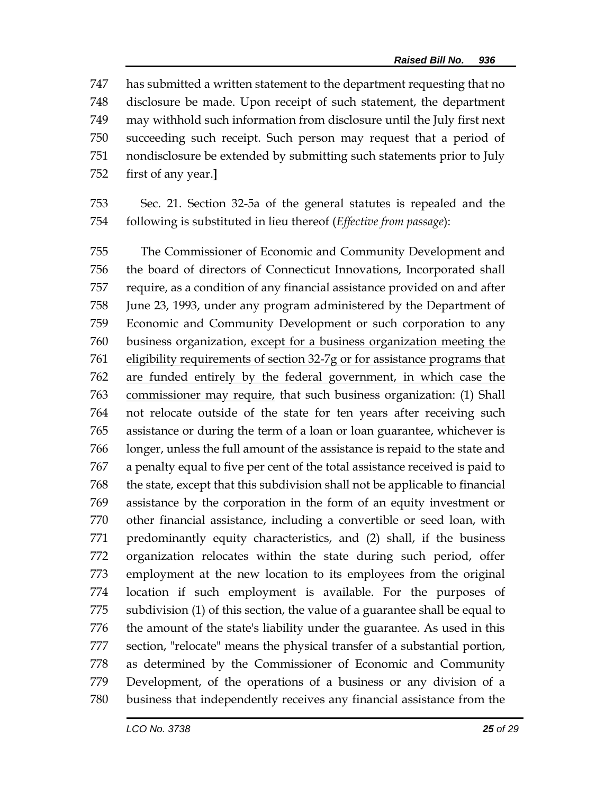has submitted a written statement to the department requesting that no disclosure be made. Upon receipt of such statement, the department may withhold such information from disclosure until the July first next succeeding such receipt. Such person may request that a period of nondisclosure be extended by submitting such statements prior to July first of any year.**]**

 Sec. 21. Section 32-5a of the general statutes is repealed and the following is substituted in lieu thereof (*Effective from passage*):

 The Commissioner of Economic and Community Development and the board of directors of Connecticut Innovations, Incorporated shall require, as a condition of any financial assistance provided on and after June 23, 1993, under any program administered by the Department of Economic and Community Development or such corporation to any business organization, except for a business organization meeting the eligibility requirements of section 32-7g or for assistance programs that are funded entirely by the federal government, in which case the commissioner may require, that such business organization: (1) Shall not relocate outside of the state for ten years after receiving such assistance or during the term of a loan or loan guarantee, whichever is longer, unless the full amount of the assistance is repaid to the state and a penalty equal to five per cent of the total assistance received is paid to the state, except that this subdivision shall not be applicable to financial assistance by the corporation in the form of an equity investment or other financial assistance, including a convertible or seed loan, with predominantly equity characteristics, and (2) shall, if the business organization relocates within the state during such period, offer employment at the new location to its employees from the original location if such employment is available. For the purposes of subdivision (1) of this section, the value of a guarantee shall be equal to the amount of the state's liability under the guarantee. As used in this section, "relocate" means the physical transfer of a substantial portion, as determined by the Commissioner of Economic and Community Development, of the operations of a business or any division of a business that independently receives any financial assistance from the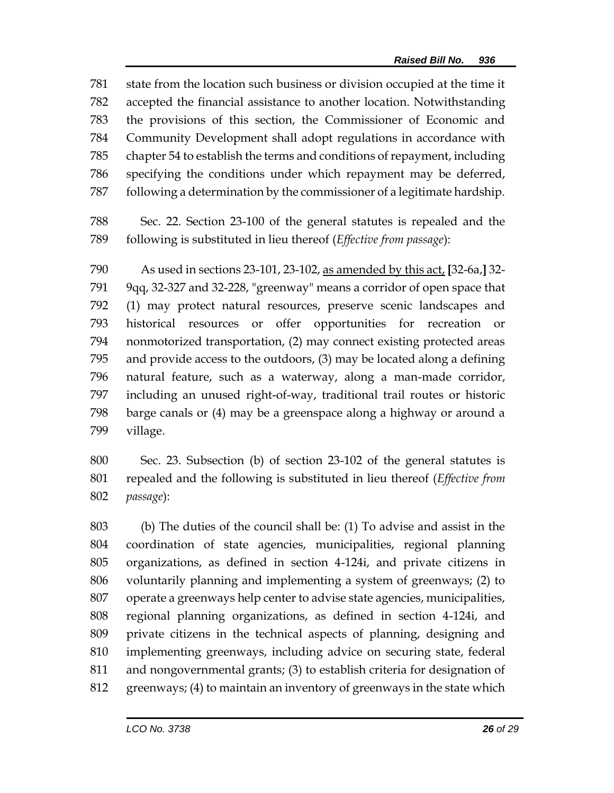state from the location such business or division occupied at the time it accepted the financial assistance to another location. Notwithstanding the provisions of this section, the Commissioner of Economic and Community Development shall adopt regulations in accordance with chapter 54 to establish the terms and conditions of repayment, including specifying the conditions under which repayment may be deferred, following a determination by the commissioner of a legitimate hardship.

 Sec. 22. Section 23-100 of the general statutes is repealed and the following is substituted in lieu thereof (*Effective from passage*):

 As used in sections 23-101, 23-102, as amended by this act, **[**32-6a,**]** 32- 9qq, 32-327 and 32-228, "greenway" means a corridor of open space that (1) may protect natural resources, preserve scenic landscapes and historical resources or offer opportunities for recreation or nonmotorized transportation, (2) may connect existing protected areas and provide access to the outdoors, (3) may be located along a defining natural feature, such as a waterway, along a man-made corridor, including an unused right-of-way, traditional trail routes or historic barge canals or (4) may be a greenspace along a highway or around a village.

 Sec. 23. Subsection (b) of section 23-102 of the general statutes is repealed and the following is substituted in lieu thereof (*Effective from passage*):

 (b) The duties of the council shall be: (1) To advise and assist in the coordination of state agencies, municipalities, regional planning organizations, as defined in section 4-124i, and private citizens in voluntarily planning and implementing a system of greenways; (2) to operate a greenways help center to advise state agencies, municipalities, regional planning organizations, as defined in section 4-124i, and private citizens in the technical aspects of planning, designing and implementing greenways, including advice on securing state, federal and nongovernmental grants; (3) to establish criteria for designation of greenways; (4) to maintain an inventory of greenways in the state which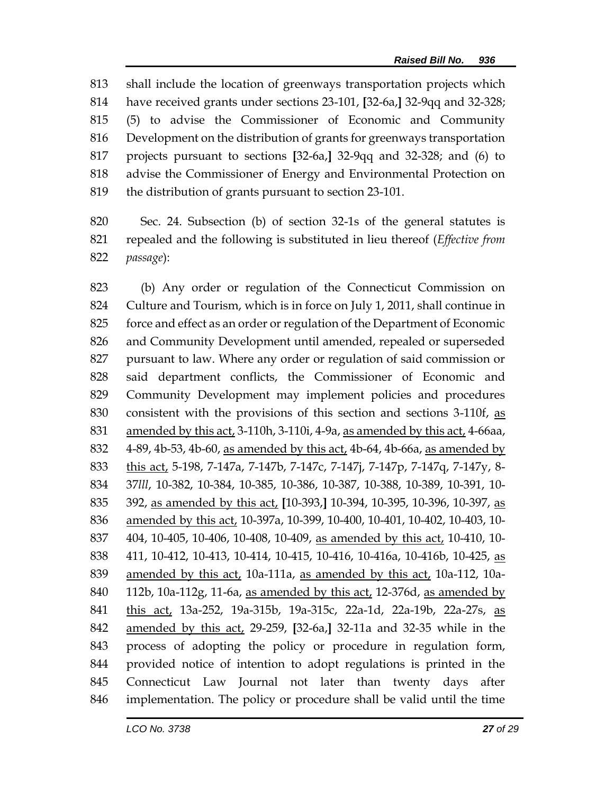shall include the location of greenways transportation projects which have received grants under sections 23-101, **[**32-6a,**]** 32-9qq and 32-328; (5) to advise the Commissioner of Economic and Community Development on the distribution of grants for greenways transportation projects pursuant to sections **[**32-6a,**]** 32-9qq and 32-328; and (6) to advise the Commissioner of Energy and Environmental Protection on the distribution of grants pursuant to section 23-101.

 Sec. 24. Subsection (b) of section 32-1s of the general statutes is repealed and the following is substituted in lieu thereof (*Effective from passage*):

 (b) Any order or regulation of the Connecticut Commission on Culture and Tourism, which is in force on July 1, 2011, shall continue in force and effect as an order or regulation of the Department of Economic and Community Development until amended, repealed or superseded pursuant to law. Where any order or regulation of said commission or said department conflicts, the Commissioner of Economic and Community Development may implement policies and procedures consistent with the provisions of this section and sections 3-110f, as amended by this act, 3-110h, 3-110i, 4-9a, as amended by this act, 4-66aa, 4-89, 4b-53, 4b-60, as amended by this act, 4b-64, 4b-66a, as amended by this act, 5-198, 7-147a, 7-147b, 7-147c, 7-147j, 7-147p, 7-147q, 7-147y, 8- 37*lll*, 10-382, 10-384, 10-385, 10-386, 10-387, 10-388, 10-389, 10-391, 10- 392, as amended by this act, **[**10-393,**]** 10-394, 10-395, 10-396, 10-397, as amended by this act, 10-397a, 10-399, 10-400, 10-401, 10-402, 10-403, 10- 404, 10-405, 10-406, 10-408, 10-409, as amended by this act, 10-410, 10- 411, 10-412, 10-413, 10-414, 10-415, 10-416, 10-416a, 10-416b, 10-425, as amended by this act, 10a-111a, as amended by this act, 10a-112, 10a- 112b, 10a-112g, 11-6a, as amended by this act, 12-376d, as amended by 841 this act, 13a-252, 19a-315b, 19a-315c, 22a-1d, 22a-19b, 22a-27s, as amended by this act, 29-259, **[**32-6a,**]** 32-11a and 32-35 while in the process of adopting the policy or procedure in regulation form, provided notice of intention to adopt regulations is printed in the Connecticut Law Journal not later than twenty days after implementation. The policy or procedure shall be valid until the time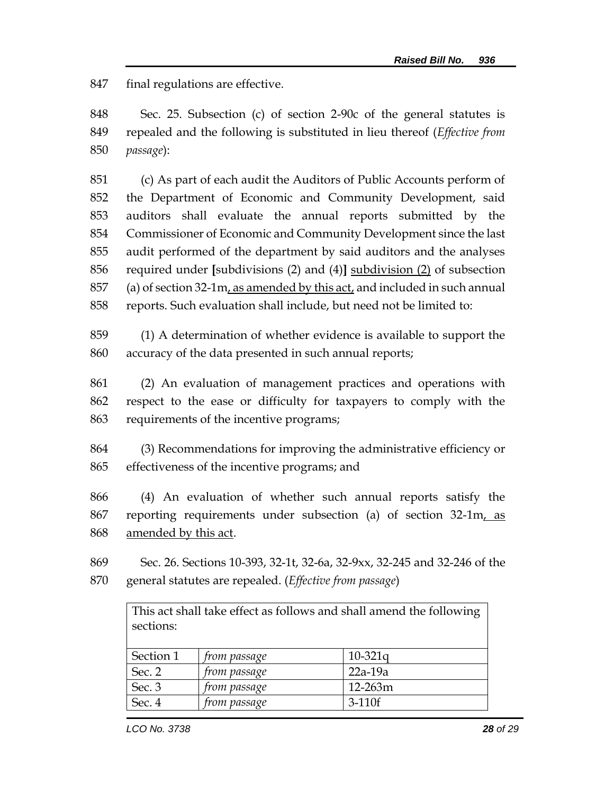final regulations are effective.

 Sec. 25. Subsection (c) of section 2-90c of the general statutes is repealed and the following is substituted in lieu thereof (*Effective from passage*):

 (c) As part of each audit the Auditors of Public Accounts perform of the Department of Economic and Community Development, said auditors shall evaluate the annual reports submitted by the Commissioner of Economic and Community Development since the last audit performed of the department by said auditors and the analyses required under **[**subdivisions (2) and (4)**]** subdivision (2) of subsection (a) of section 32-1m, as amended by this act, and included in such annual reports. Such evaluation shall include, but need not be limited to:

 (1) A determination of whether evidence is available to support the accuracy of the data presented in such annual reports;

 (2) An evaluation of management practices and operations with respect to the ease or difficulty for taxpayers to comply with the requirements of the incentive programs;

 (3) Recommendations for improving the administrative efficiency or effectiveness of the incentive programs; and

 (4) An evaluation of whether such annual reports satisfy the 867 reporting requirements under subsection (a) of section 32-1m, as 868 amended by this act.

 Sec. 26. Sections 10-393, 32-1t, 32-6a, 32-9xx, 32-245 and 32-246 of the general statutes are repealed. (*Effective from passage*)

> This act shall take effect as follows and shall amend the following sections:

| Section 1 | <i>from passage</i> | $10-321q$   |
|-----------|---------------------|-------------|
| Sec. 2    | <i>from passage</i> | $22a-19a$   |
| Sec. 3    | <i>from passage</i> | $12 - 263m$ |
| Sec. 4    | from passage        | $3-110f$    |
|           |                     |             |